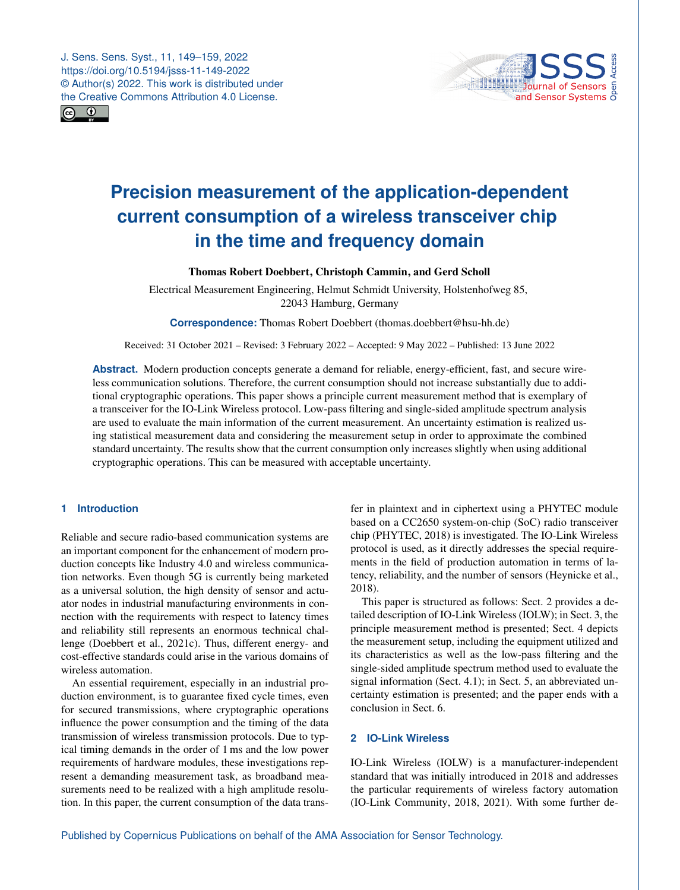J. Sens. Sens. Syst., 11, 149–159, 2022 https://doi.org/10.5194/jsss-11-149-2022 © Author(s) 2022. This work is distributed under the Creative Commons Attribution 4.0 License.





# **Precision measurement of the application-dependent current consumption of a wireless transceiver chip in the time and frequency domain**

Thomas Robert Doebbert, Christoph Cammin, and Gerd Scholl

Electrical Measurement Engineering, Helmut Schmidt University, Holstenhofweg 85, 22043 Hamburg, Germany

**Correspondence:** Thomas Robert Doebbert (thomas.doebbert@hsu-hh.de)

Received: 31 October 2021 – Revised: 3 February 2022 – Accepted: 9 May 2022 – Published: 13 June 2022

**Abstract.** Modern production concepts generate a demand for reliable, energy-efficient, fast, and secure wireless communication solutions. Therefore, the current consumption should not increase substantially due to additional cryptographic operations. This paper shows a principle current measurement method that is exemplary of a transceiver for the IO-Link Wireless protocol. Low-pass filtering and single-sided amplitude spectrum analysis are used to evaluate the main information of the current measurement. An uncertainty estimation is realized using statistical measurement data and considering the measurement setup in order to approximate the combined standard uncertainty. The results show that the current consumption only increases slightly when using additional cryptographic operations. This can be measured with acceptable uncertainty.

# **1 Introduction**

Reliable and secure radio-based communication systems are an important component for the enhancement of modern production concepts like Industry 4.0 and wireless communication networks. Even though 5G is currently being marketed as a universal solution, the high density of sensor and actuator nodes in industrial manufacturing environments in connection with the requirements with respect to latency times and reliability still represents an enormous technical challenge [\(Doebbert et al.,](#page-9-0) [2021c\)](#page-9-0). Thus, different energy- and cost-effective standards could arise in the various domains of wireless automation.

An essential requirement, especially in an industrial production environment, is to guarantee fixed cycle times, even for secured transmissions, where cryptographic operations influence the power consumption and the timing of the data transmission of wireless transmission protocols. Due to typical timing demands in the order of 1 ms and the low power requirements of hardware modules, these investigations represent a demanding measurement task, as broadband measurements need to be realized with a high amplitude resolution. In this paper, the current consumption of the data trans-

fer in plaintext and in ciphertext using a PHYTEC module based on a CC2650 system-on-chip (SoC) radio transceiver chip [\(PHYTEC,](#page-9-1) [2018\)](#page-9-1) is investigated. The IO-Link Wireless protocol is used, as it directly addresses the special requirements in the field of production automation in terms of latency, reliability, and the number of sensors [\(Heynicke et al.,](#page-9-2) [2018\)](#page-9-2).

This paper is structured as follows: Sect. [2](#page-0-0) provides a detailed description of IO-Link Wireless (IOLW); in Sect. [3,](#page-1-0) the principle measurement method is presented; Sect. [4](#page-2-0) depicts the measurement setup, including the equipment utilized and its characteristics as well as the low-pass filtering and the single-sided amplitude spectrum method used to evaluate the signal information (Sect. [4.1\)](#page-2-1); in Sect. 5, an abbreviated uncertainty estimation is presented; and the paper ends with a conclusion in Sect. 6.

# <span id="page-0-0"></span>**2 IO-Link Wireless**

IO-Link Wireless (IOLW) is a manufacturer-independent standard that was initially introduced in 2018 and addresses the particular requirements of wireless factory automation [\(IO-Link Community,](#page-9-3) [2018,](#page-9-3) [2021\)](#page-9-4). With some further de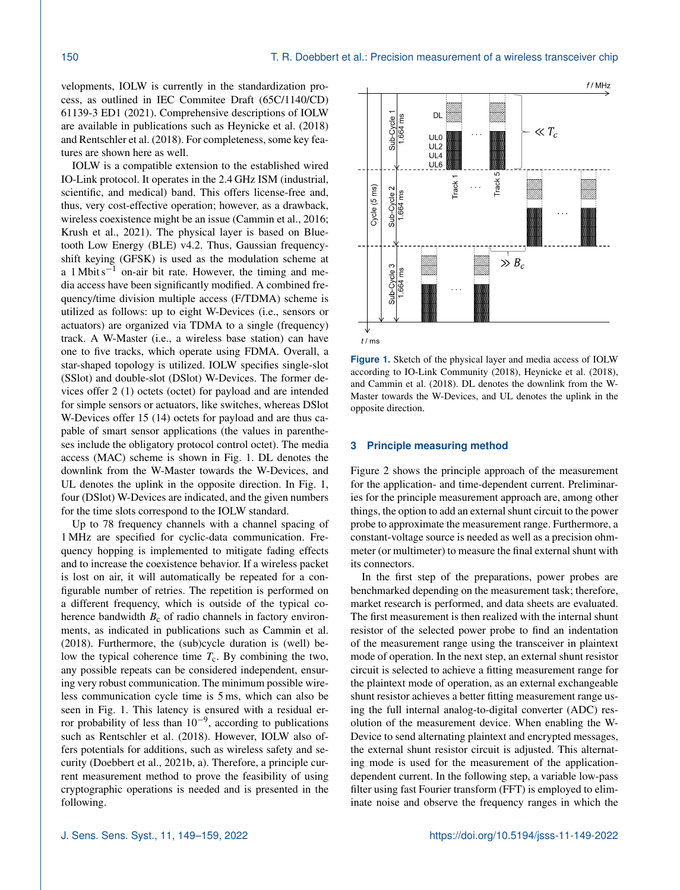velopments, IOLW is currently in the standardization process, as outlined in [IEC Commitee Draft \(65C/1140/CD\)](#page-9-5) [61139-3 ED1](#page-9-5) [\(2021\)](#page-9-5). Comprehensive descriptions of IOLW are available in publications such as [Heynicke et al.](#page-9-2) [\(2018\)](#page-9-2) and [Rentschler et al.](#page-9-6) [\(2018\)](#page-9-6). For completeness, some key features are shown here as well.

IOLW is a compatible extension to the established wired IO-Link protocol. It operates in the 2.4 GHz ISM (industrial, scientific, and medical) band. This offers license-free and, thus, very cost-effective operation; however, as a drawback, wireless coexistence might be an issue [\(Cammin et al.,](#page-9-7) [2016;](#page-9-7) [Krush et al.,](#page-9-8) [2021\)](#page-9-8). The physical layer is based on Bluetooth Low Energy (BLE) v4.2. Thus, Gaussian frequencyshift keying (GFSK) is used as the modulation scheme at a 1 Mbit s<sup> $-1$ </sup> on-air bit rate. However, the timing and media access have been significantly modified. A combined frequency/time division multiple access (F/TDMA) scheme is utilized as follows: up to eight W-Devices (i.e., sensors or actuators) are organized via TDMA to a single (frequency) track. A W-Master (i.e., a wireless base station) can have one to five tracks, which operate using FDMA. Overall, a star-shaped topology is utilized. IOLW specifies single-slot (SSlot) and double-slot (DSlot) W-Devices. The former devices offer 2 (1) octets (octet) for payload and are intended for simple sensors or actuators, like switches, whereas DSlot W-Devices offer 15 (14) octets for payload and are thus capable of smart sensor applications (the values in parentheses include the obligatory protocol control octet). The media access (MAC) scheme is shown in Fig. [1.](#page-1-1) DL denotes the downlink from the W-Master towards the W-Devices, and UL denotes the uplink in the opposite direction. In Fig. [1,](#page-1-1) four (DSlot) W-Devices are indicated, and the given numbers for the time slots correspond to the IOLW standard.

Up to 78 frequency channels with a channel spacing of 1 MHz are specified for cyclic-data communication. Frequency hopping is implemented to mitigate fading effects and to increase the coexistence behavior. If a wireless packet is lost on air, it will automatically be repeated for a configurable number of retries. The repetition is performed on a different frequency, which is outside of the typical coherence bandwidth  $B_c$  of radio channels in factory environments, as indicated in publications such as [Cammin et al.](#page-9-9) [\(2018\)](#page-9-9). Furthermore, the (sub)cycle duration is (well) below the typical coherence time  $T_c$ . By combining the two, any possible repeats can be considered independent, ensuring very robust communication. The minimum possible wireless communication cycle time is 5 ms, which can also be seen in Fig. [1.](#page-1-1) This latency is ensured with a residual error probability of less than  $10^{-9}$ , according to publications such as [Rentschler et al.](#page-9-6) [\(2018\)](#page-9-6). However, IOLW also offers potentials for additions, such as wireless safety and security [\(Doebbert et al.,](#page-9-10) [2021b,](#page-9-10) [a\)](#page-9-11). Therefore, a principle current measurement method to prove the feasibility of using cryptographic operations is needed and is presented in the following.

<span id="page-1-1"></span>

**Figure 1.** Sketch of the physical layer and media access of IOLW according to [IO-Link Community](#page-9-3) [\(2018\)](#page-9-3), [Heynicke et al.](#page-9-2) [\(2018\)](#page-9-2), and [Cammin et al.](#page-9-9) [\(2018\)](#page-9-9). DL denotes the downlink from the W-Master towards the W-Devices, and UL denotes the uplink in the opposite direction.

#### <span id="page-1-0"></span>**3 Principle measuring method**

Figure [2](#page-2-2) shows the principle approach of the measurement for the application- and time-dependent current. Preliminaries for the principle measurement approach are, among other things, the option to add an external shunt circuit to the power probe to approximate the measurement range. Furthermore, a constant-voltage source is needed as well as a precision ohmmeter (or multimeter) to measure the final external shunt with its connectors.

In the first step of the preparations, power probes are benchmarked depending on the measurement task; therefore, market research is performed, and data sheets are evaluated. The first measurement is then realized with the internal shunt resistor of the selected power probe to find an indentation of the measurement range using the transceiver in plaintext mode of operation. In the next step, an external shunt resistor circuit is selected to achieve a fitting measurement range for the plaintext mode of operation, as an external exchangeable shunt resistor achieves a better fitting measurement range using the full internal analog-to-digital converter (ADC) resolution of the measurement device. When enabling the W-Device to send alternating plaintext and encrypted messages, the external shunt resistor circuit is adjusted. This alternating mode is used for the measurement of the applicationdependent current. In the following step, a variable low-pass filter using fast Fourier transform (FFT) is employed to eliminate noise and observe the frequency ranges in which the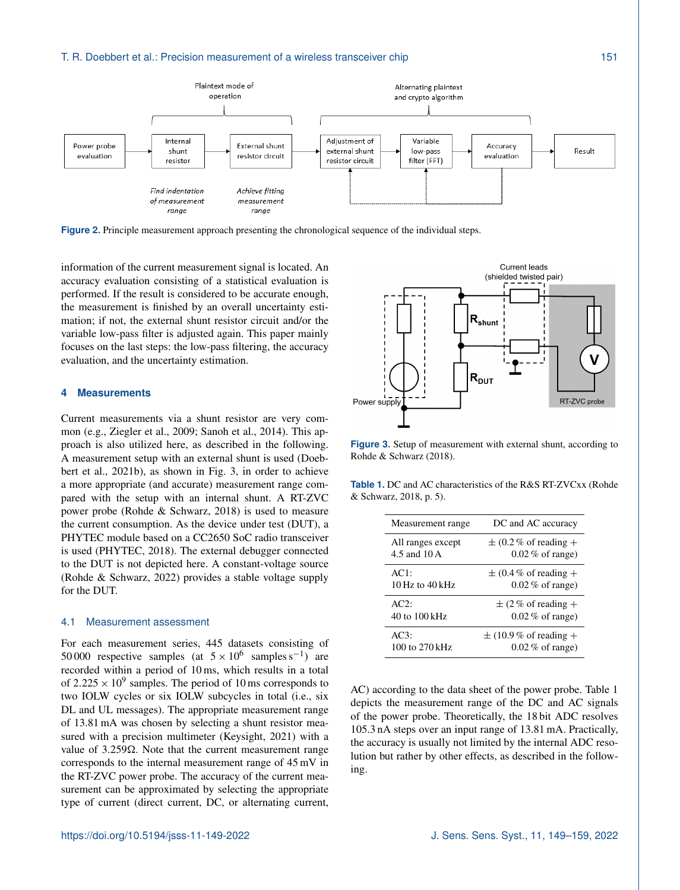#### T. R. Doebbert et al.: Precision measurement of a wireless transceiver chip 151

<span id="page-2-2"></span>

**Figure 2.** Principle measurement approach presenting the chronological sequence of the individual steps.

information of the current measurement signal is located. An accuracy evaluation consisting of a statistical evaluation is performed. If the result is considered to be accurate enough, the measurement is finished by an overall uncertainty estimation; if not, the external shunt resistor circuit and/or the variable low-pass filter is adjusted again. This paper mainly focuses on the last steps: the low-pass filtering, the accuracy evaluation, and the uncertainty estimation.

#### <span id="page-2-0"></span>**4 Measurements**

Current measurements via a shunt resistor are very common (e.g., [Ziegler et al.,](#page-10-0) [2009;](#page-10-0) [Sanoh et al.,](#page-10-1) [2014\)](#page-10-1). This approach is also utilized here, as described in the following. A measurement setup with an external shunt is used [\(Doeb](#page-9-10)[bert et al.,](#page-9-10) [2021b\)](#page-9-10), as shown in Fig. [3,](#page-2-3) in order to achieve a more appropriate (and accurate) measurement range compared with the setup with an internal shunt. A RT-ZVC power probe [\(Rohde & Schwarz,](#page-9-12) [2018\)](#page-9-12) is used to measure the current consumption. As the device under test (DUT), a PHYTEC module based on a CC2650 SoC radio transceiver is used [\(PHYTEC,](#page-9-1) [2018\)](#page-9-1). The external debugger connected to the DUT is not depicted here. A constant-voltage source [\(Rohde & Schwarz,](#page-9-13) [2022\)](#page-9-13) provides a stable voltage supply for the DUT.

#### <span id="page-2-1"></span>4.1 Measurement assessment

For each measurement series, 445 datasets consisting of 50 000 respective samples (at  $5 \times 10^6$  samples s<sup>-1</sup>) are recorded within a period of 10 ms, which results in a total of 2.225  $\times$  10<sup>9</sup> samples. The period of 10 ms corresponds to two IOLW cycles or six IOLW subcycles in total (i.e., six DL and UL messages). The appropriate measurement range of 13.81 mA was chosen by selecting a shunt resistor measured with a precision multimeter [\(Keysight,](#page-9-14) [2021\)](#page-9-14) with a value of  $3.259\Omega$ . Note that the current measurement range corresponds to the internal measurement range of 45 mV in the RT-ZVC power probe. The accuracy of the current measurement can be approximated by selecting the appropriate type of current (direct current, DC, or alternating current,

<span id="page-2-3"></span>

**Figure 3.** Setup of measurement with external shunt, according to [Rohde & Schwarz](#page-9-12) [\(2018\)](#page-9-12).

<span id="page-2-4"></span>**Table 1.** DC and AC characteristics of the R&S RT-ZVCxx [\(Rohde](#page-9-12) [& Schwarz,](#page-9-12) [2018,](#page-9-12) p. 5).

| Measurement range | DC and AC accuracy        |
|-------------------|---------------------------|
| All ranges except | $\pm$ (0.2% of reading +  |
| 4.5 and 10 A      | $0.02\%$ of range)        |
| AC1:              | $\pm$ (0.4 % of reading + |
| 10 Hz to $40$ kHz | $0.02\%$ of range)        |
| AC2:              | $\pm$ (2 % of reading +   |
| 40 to 100 kHz     | $0.02\%$ of range)        |
| AC3:              | $\pm$ (10.9% of reading + |
| 100 to 270 kHz    | $0.02\%$ of range)        |

AC) according to the data sheet of the power probe. Table [1](#page-2-4) depicts the measurement range of the DC and AC signals of the power probe. Theoretically, the 18 bit ADC resolves 105.3 nA steps over an input range of 13.81 mA. Practically, the accuracy is usually not limited by the internal ADC resolution but rather by other effects, as described in the following.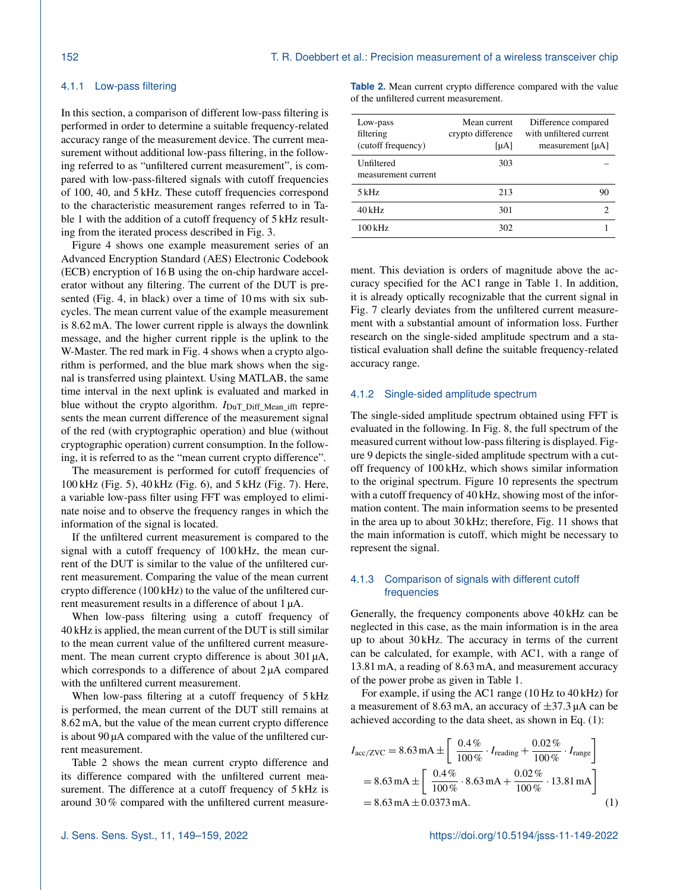# <span id="page-3-2"></span>4.1.1 Low-pass filtering

In this section, a comparison of different low-pass filtering is performed in order to determine a suitable frequency-related accuracy range of the measurement device. The current measurement without additional low-pass filtering, in the following referred to as "unfiltered current measurement", is compared with low-pass-filtered signals with cutoff frequencies of 100, 40, and 5 kHz. These cutoff frequencies correspond to the characteristic measurement ranges referred to in Table [1](#page-2-4) with the addition of a cutoff frequency of 5 kHz resulting from the iterated process described in Fig. [3.](#page-2-3)

Figure [4](#page-4-0) shows one example measurement series of an Advanced Encryption Standard (AES) Electronic Codebook (ECB) encryption of 16 B using the on-chip hardware accelerator without any filtering. The current of the DUT is presented (Fig. 4, in black) over a time of 10 ms with six subcycles. The mean current value of the example measurement is 8.62 mA. The lower current ripple is always the downlink message, and the higher current ripple is the uplink to the W-Master. The red mark in Fig. 4 shows when a crypto algorithm is performed, and the blue mark shows when the signal is transferred using plaintext. Using MATLAB, the same time interval in the next uplink is evaluated and marked in blue without the crypto algorithm.  $I_{\text{DuT}}$  Diff Mean ifft represents the mean current difference of the measurement signal of the red (with cryptographic operation) and blue (without cryptographic operation) current consumption. In the following, it is referred to as the "mean current crypto difference".

The measurement is performed for cutoff frequencies of 100 kHz (Fig. [5\)](#page-4-1), 40 kHz (Fig. [6\)](#page-5-0), and 5 kHz (Fig. [7\)](#page-5-1). Here, a variable low-pass filter using FFT was employed to eliminate noise and to observe the frequency ranges in which the information of the signal is located.

If the unfiltered current measurement is compared to the signal with a cutoff frequency of 100 kHz, the mean current of the DUT is similar to the value of the unfiltered current measurement. Comparing the value of the mean current crypto difference (100 kHz) to the value of the unfiltered current measurement results in a difference of about 1 µA.

When low-pass filtering using a cutoff frequency of 40 kHz is applied, the mean current of the DUT is still similar to the mean current value of the unfiltered current measurement. The mean current crypto difference is about 301  $\mu$ A, which corresponds to a difference of about  $2 \mu A$  compared with the unfiltered current measurement.

When low-pass filtering at a cutoff frequency of 5 kHz is performed, the mean current of the DUT still remains at 8.62 mA, but the value of the mean current crypto difference is about 90 µA compared with the value of the unfiltered current measurement.

Table [2](#page-3-0) shows the mean current crypto difference and its difference compared with the unfiltered current measurement. The difference at a cutoff frequency of 5 kHz is around 30 % compared with the unfiltered current measure<span id="page-3-0"></span>**Table 2.** Mean current crypto difference compared with the value of the unfiltered current measurement.

| Low-pass<br>filtering<br>(cutoff frequency) | Mean current<br>crypto difference<br>[µA] | Difference compared<br>with unfiltered current<br>measurement $[\mu A]$ |
|---------------------------------------------|-------------------------------------------|-------------------------------------------------------------------------|
| Unfiltered<br>measurement current           | 303                                       |                                                                         |
| $5$ kHz                                     | 213                                       | 90                                                                      |
| $40$ kHz                                    | 301                                       | 2                                                                       |
| $100 \,\mathrm{kHz}$                        | 302                                       |                                                                         |

ment. This deviation is orders of magnitude above the accuracy specified for the AC1 range in Table [1.](#page-2-4) In addition, it is already optically recognizable that the current signal in Fig. [7](#page-5-1) clearly deviates from the unfiltered current measurement with a substantial amount of information loss. Further research on the single-sided amplitude spectrum and a statistical evaluation shall define the suitable frequency-related accuracy range.

#### 4.1.2 Single-sided amplitude spectrum

The single-sided amplitude spectrum obtained using FFT is evaluated in the following. In Fig. [8,](#page-6-0) the full spectrum of the measured current without low-pass filtering is displayed. Figure [9](#page-6-1) depicts the single-sided amplitude spectrum with a cutoff frequency of 100 kHz, which shows similar information to the original spectrum. Figure [10](#page-6-2) represents the spectrum with a cutoff frequency of 40 kHz, showing most of the information content. The main information seems to be presented in the area up to about 30 kHz; therefore, Fig. [11](#page-6-3) shows that the main information is cutoff, which might be necessary to represent the signal.

# <span id="page-3-3"></span>4.1.3 Comparison of signals with different cutoff frequencies

Generally, the frequency components above 40 kHz can be neglected in this case, as the main information is in the area up to about 30 kHz. The accuracy in terms of the current can be calculated, for example, with AC1, with a range of 13.81 mA, a reading of 8.63 mA, and measurement accuracy of the power probe as given in Table [1.](#page-2-4)

For example, if using the AC1 range (10 Hz to 40 kHz) for a measurement of 8.63 mA, an accuracy of  $\pm$ 37.3 µA can be achieved according to the data sheet, as shown in Eq. [\(1\)](#page-3-1):

<span id="page-3-1"></span>
$$
I_{\text{acc/ZVC}} = 8.63 \,\text{mA} \pm \left[ \frac{0.4 \,\%}{100 \,\%} \cdot I_{\text{reading}} + \frac{0.02 \,\%}{100 \,\%} \cdot I_{\text{range}} \right]
$$
  
= 8.63 \,\text{mA} \pm \left[ \frac{0.4 \,\%}{100 \,\%} \cdot 8.63 \,\text{mA} + \frac{0.02 \,\%}{100 \,\%} \cdot 13.81 \,\text{mA} \right]  
= 8.63 \,\text{mA} \pm 0.0373 \,\text{mA}. (1)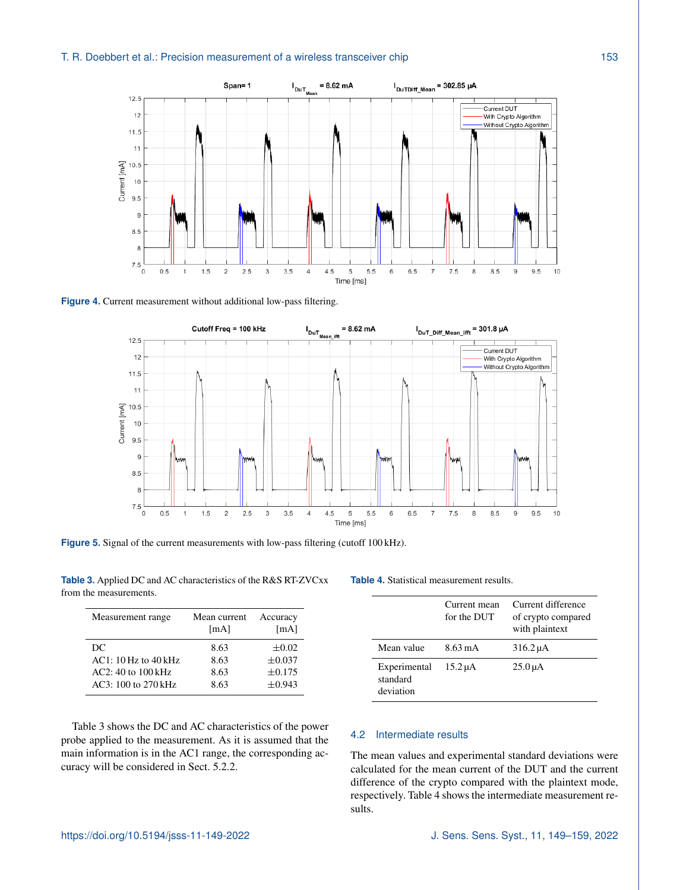<span id="page-4-0"></span>

<span id="page-4-1"></span>**Figure 4.** Current measurement without additional low-pass filtering.



**Figure 5.** Signal of the current measurements with low-pass filtering (cutoff 100 kHz).

<span id="page-4-2"></span>**Table 3.** Applied DC and AC characteristics of the R&S RT-ZVCxx from the measurements.

| Measurement range        | Mean current<br>[mA] | Accuracy<br>[mA] |
|--------------------------|----------------------|------------------|
| DC                       | 8.63                 | $\pm 0.02$       |
| $AC1: 10 Hz$ to $40 kHz$ | 8.63                 | $\pm 0.037$      |
| $AC2: 40$ to $100$ kHz   | 8.63                 | $\pm 0.175$      |
| AC3: 100 to 270 kHz      | 8.63                 | $\pm 0.943$      |

Table [3](#page-4-2) shows the DC and AC characteristics of the power probe applied to the measurement. As it is assumed that the main information is in the AC1 range, the corresponding accuracy will be considered in Sect. [5.2.2.](#page-7-0)

#### <span id="page-4-3"></span>**Table 4.** Statistical measurement results.

|                                       | Current mean<br>for the DUT | Current difference<br>of crypto compared<br>with plaintext |
|---------------------------------------|-----------------------------|------------------------------------------------------------|
| Mean value                            | $8.63 \text{ mA}$           | $316.2 \mu A$                                              |
| Experimental<br>standard<br>deviation | $15.2 \mu A$                | $25.0 \mu A$                                               |

# 4.2 Intermediate results

The mean values and experimental standard deviations were calculated for the mean current of the DUT and the current difference of the crypto compared with the plaintext mode, respectively. Table [4](#page-4-3) shows the intermediate measurement results.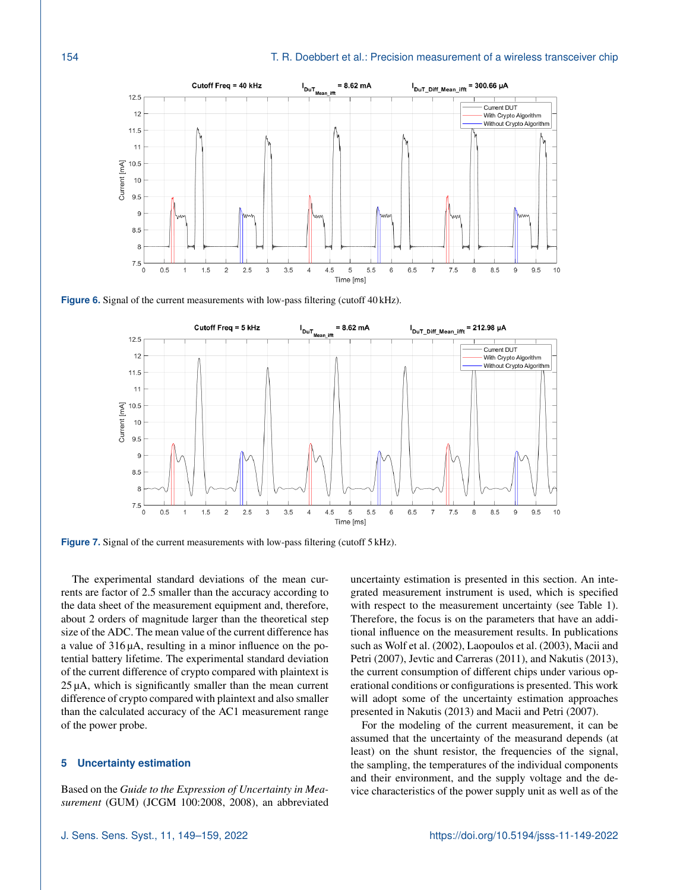<span id="page-5-0"></span>

<span id="page-5-1"></span>**Figure 6.** Signal of the current measurements with low-pass filtering (cutoff 40 kHz).





The experimental standard deviations of the mean currents are factor of 2.5 smaller than the accuracy according to the data sheet of the measurement equipment and, therefore, about 2 orders of magnitude larger than the theoretical step size of the ADC. The mean value of the current difference has a value of 316 µA, resulting in a minor influence on the potential battery lifetime. The experimental standard deviation of the current difference of crypto compared with plaintext is 25 µA, which is significantly smaller than the mean current difference of crypto compared with plaintext and also smaller than the calculated accuracy of the AC1 measurement range of the power probe.

## **5 Uncertainty estimation**

Based on the *Guide to the Expression of Uncertainty in Measurement* (GUM) [\(JCGM 100:2008,](#page-9-15) [2008\)](#page-9-15), an abbreviated uncertainty estimation is presented in this section. An integrated measurement instrument is used, which is specified with respect to the measurement uncertainty (see Table [1\)](#page-2-4). Therefore, the focus is on the parameters that have an additional influence on the measurement results. In publications such as [Wolf et al.](#page-10-2) [\(2002\)](#page-10-2), [Laopoulos et al.](#page-9-16) [\(2003\)](#page-9-16), [Macii and](#page-9-17) [Petri](#page-9-17) [\(2007\)](#page-9-17), [Jevtic and Carreras](#page-9-18) [\(2011\)](#page-9-18), and [Nakutis](#page-9-19) [\(2013\)](#page-9-19), the current consumption of different chips under various operational conditions or configurations is presented. This work will adopt some of the uncertainty estimation approaches presented in [Nakutis](#page-9-19) [\(2013\)](#page-9-19) and [Macii and Petri](#page-9-17) [\(2007\)](#page-9-17).

For the modeling of the current measurement, it can be assumed that the uncertainty of the measurand depends (at least) on the shunt resistor, the frequencies of the signal, the sampling, the temperatures of the individual components and their environment, and the supply voltage and the device characteristics of the power supply unit as well as of the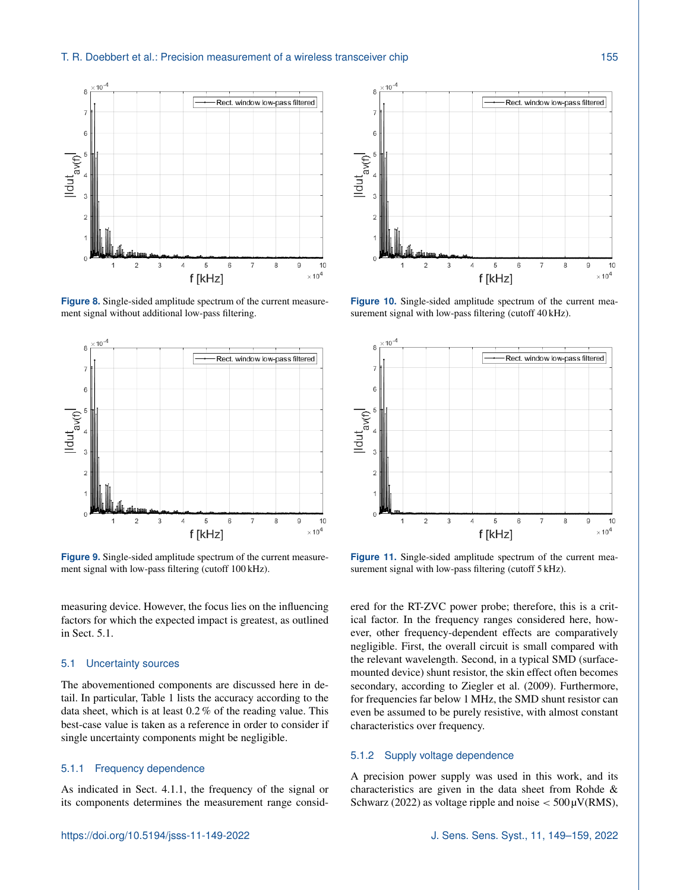#### T. R. Doebbert et al.: Precision measurement of a wireless transceiver chip 155

<span id="page-6-0"></span>

**Figure 8.** Single-sided amplitude spectrum of the current measurement signal without additional low-pass filtering.

<span id="page-6-1"></span>

**Figure 9.** Single-sided amplitude spectrum of the current measurement signal with low-pass filtering (cutoff 100 kHz).

measuring device. However, the focus lies on the influencing factors for which the expected impact is greatest, as outlined in Sect. [5.1.](#page-6-4)

# <span id="page-6-4"></span>5.1 Uncertainty sources

The abovementioned components are discussed here in detail. In particular, Table [1](#page-2-4) lists the accuracy according to the data sheet, which is at least 0.2 % of the reading value. This best-case value is taken as a reference in order to consider if single uncertainty components might be negligible.

#### 5.1.1 Frequency dependence

As indicated in Sect. [4.1.1,](#page-3-2) the frequency of the signal or its components determines the measurement range consid-

<span id="page-6-2"></span>

**Figure 10.** Single-sided amplitude spectrum of the current measurement signal with low-pass filtering (cutoff 40 kHz).

<span id="page-6-3"></span>

**Figure 11.** Single-sided amplitude spectrum of the current measurement signal with low-pass filtering (cutoff 5 kHz).

ered for the RT-ZVC power probe; therefore, this is a critical factor. In the frequency ranges considered here, however, other frequency-dependent effects are comparatively negligible. First, the overall circuit is small compared with the relevant wavelength. Second, in a typical SMD (surfacemounted device) shunt resistor, the skin effect often becomes secondary, according to [Ziegler et al.](#page-10-0) [\(2009\)](#page-10-0). Furthermore, for frequencies far below 1 MHz, the SMD shunt resistor can even be assumed to be purely resistive, with almost constant characteristics over frequency.

# 5.1.2 Supply voltage dependence

A precision power supply was used in this work, and its characteristics are given in the data sheet from [Rohde &](#page-9-13) [Schwarz](#page-9-13) [\(2022\)](#page-9-13) as voltage ripple and noise  $<$  500 $\mu$ V(RMS),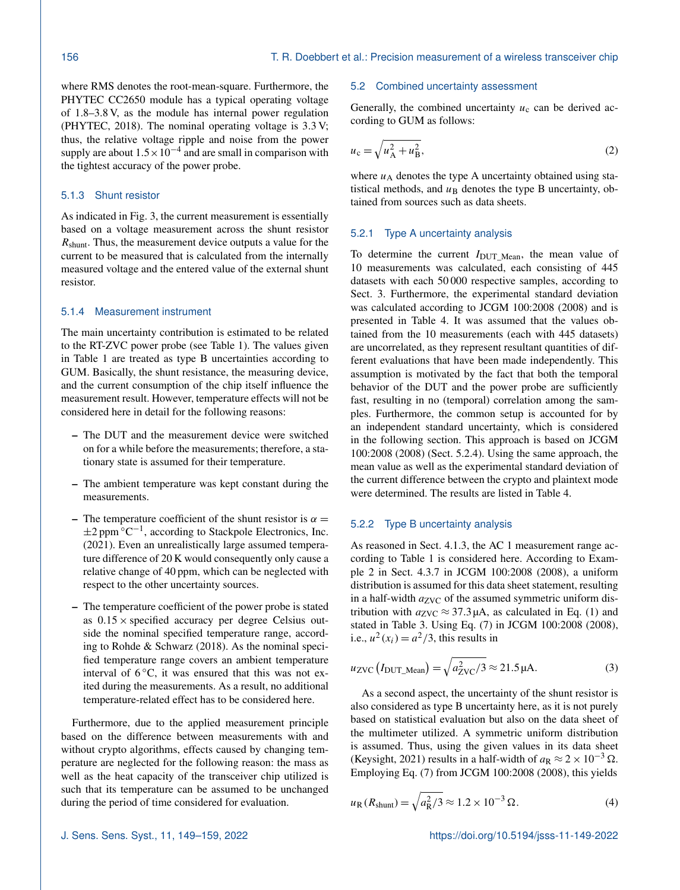where RMS denotes the root-mean-square. Furthermore, the PHYTEC CC2650 module has a typical operating voltage of 1.8–3.8 V, as the module has internal power regulation [\(PHYTEC,](#page-9-1) [2018\)](#page-9-1). The nominal operating voltage is 3.3 V; thus, the relative voltage ripple and noise from the power supply are about  $1.5 \times 10^{-4}$  and are small in comparison with the tightest accuracy of the power probe.

# 5.1.3 Shunt resistor

As indicated in Fig. [3,](#page-2-3) the current measurement is essentially based on a voltage measurement across the shunt resistor  $R<sub>shunt</sub>$ . Thus, the measurement device outputs a value for the current to be measured that is calculated from the internally measured voltage and the entered value of the external shunt resistor.

# 5.1.4 Measurement instrument

The main uncertainty contribution is estimated to be related to the RT-ZVC power probe (see Table [1\)](#page-2-4). The values given in Table [1](#page-2-4) are treated as type B uncertainties according to GUM. Basically, the shunt resistance, the measuring device, and the current consumption of the chip itself influence the measurement result. However, temperature effects will not be considered here in detail for the following reasons:

- The DUT and the measurement device were switched on for a while before the measurements; therefore, a stationary state is assumed for their temperature.
- The ambient temperature was kept constant during the measurements.
- The temperature coefficient of the shunt resistor is  $\alpha =$  $\pm 2$  ppm  $\mathrm{°C}^{-1}$ , according to [Stackpole Electronics, Inc.](#page-10-3) [\(2021\)](#page-10-3). Even an unrealistically large assumed temperature difference of 20 K would consequently only cause a relative change of 40 ppm, which can be neglected with respect to the other uncertainty sources.
- The temperature coefficient of the power probe is stated as  $0.15 \times$  specified accuracy per degree Celsius outside the nominal specified temperature range, according to [Rohde & Schwarz](#page-9-12) [\(2018\)](#page-9-12). As the nominal specified temperature range covers an ambient temperature interval of  $6^{\circ}$ C, it was ensured that this was not exited during the measurements. As a result, no additional temperature-related effect has to be considered here.

Furthermore, due to the applied measurement principle based on the difference between measurements with and without crypto algorithms, effects caused by changing temperature are neglected for the following reason: the mass as well as the heat capacity of the transceiver chip utilized is such that its temperature can be assumed to be unchanged during the period of time considered for evaluation.

#### 5.2 Combined uncertainty assessment

Generally, the combined uncertainty  $u_c$  can be derived according to GUM as follows:

<span id="page-7-1"></span>
$$
u_{\rm c} = \sqrt{u_{\rm A}^2 + u_{\rm B}^2},\tag{2}
$$

where  $u_A$  denotes the type A uncertainty obtained using statistical methods, and  $u_B$  denotes the type B uncertainty, obtained from sources such as data sheets.

## 5.2.1 Type A uncertainty analysis

To determine the current  $I_{\text{DUT Mean}}$ , the mean value of 10 measurements was calculated, each consisting of 445 datasets with each 50 000 respective samples, according to Sect. [3.](#page-1-0) Furthermore, the experimental standard deviation was calculated according to [JCGM 100:2008](#page-9-15) [\(2008\)](#page-9-15) and is presented in Table [4.](#page-4-3) It was assumed that the values obtained from the 10 measurements (each with 445 datasets) are uncorrelated, as they represent resultant quantities of different evaluations that have been made independently. This assumption is motivated by the fact that both the temporal behavior of the DUT and the power probe are sufficiently fast, resulting in no (temporal) correlation among the samples. Furthermore, the common setup is accounted for by an independent standard uncertainty, which is considered in the following section. This approach is based on [JCGM](#page-9-15) [100:2008](#page-9-15) [\(2008\)](#page-9-15) (Sect. 5.2.4). Using the same approach, the mean value as well as the experimental standard deviation of the current difference between the crypto and plaintext mode were determined. The results are listed in Table [4.](#page-4-3)

# <span id="page-7-0"></span>5.2.2 Type B uncertainty analysis

As reasoned in Sect. [4.1.3,](#page-3-3) the AC 1 measurement range according to Table [1](#page-2-4) is considered here. According to Example 2 in Sect. 4.3.7 in [JCGM 100:2008](#page-9-15) [\(2008\)](#page-9-15), a uniform distribution is assumed for this data sheet statement, resulting in a half-width  $a_{ZVC}$  of the assumed symmetric uniform distribution with  $a_{ZVC} \approx 37.3 \mu A$ , as calculated in Eq. [\(1\)](#page-3-1) and stated in Table [3.](#page-4-2) Using Eq. (7) in [JCGM 100:2008](#page-9-15) [\(2008\)](#page-9-15), i.e.,  $u^2(x_i) = a^2/3$ , this results in

$$
u_{\text{ZVC}}(I_{\text{DUT\_Mean}}) = \sqrt{a_{\text{ZVC}}^2/3} \approx 21.5 \,\mu\text{A}.\tag{3}
$$

As a second aspect, the uncertainty of the shunt resistor is also considered as type B uncertainty here, as it is not purely based on statistical evaluation but also on the data sheet of the multimeter utilized. A symmetric uniform distribution is assumed. Thus, using the given values in its data sheet [\(Keysight,](#page-9-14) [2021\)](#page-9-14) results in a half-width of  $a_R \approx 2 \times 10^{-3} \Omega$ . Employing Eq. (7) from [JCGM 100:2008](#page-9-15) [\(2008\)](#page-9-15), this yields

$$
u_{\rm R}(R_{\rm shunt}) = \sqrt{a_{\rm R}^2/3} \approx 1.2 \times 10^{-3} \,\Omega.
$$
 (4)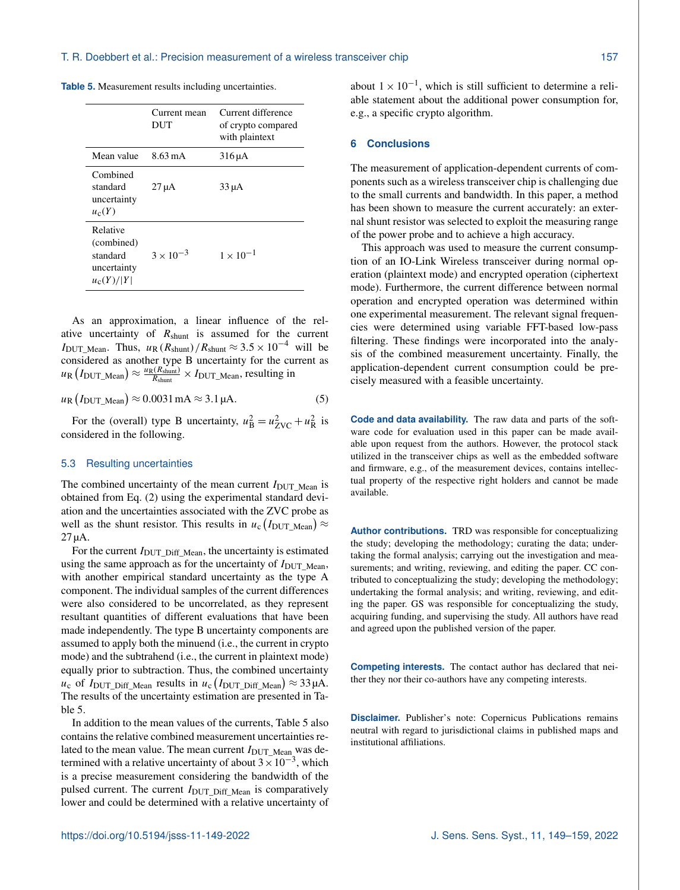<span id="page-8-0"></span>

|  |  |  |  |  | <b>Table 5.</b> Measurement results including uncertainties. |  |  |  |  |  |  |  |
|--|--|--|--|--|--------------------------------------------------------------|--|--|--|--|--|--|--|
|--|--|--|--|--|--------------------------------------------------------------|--|--|--|--|--|--|--|

|                                                                   | Current mean<br>DUT | Current difference<br>of crypto compared<br>with plaintext |
|-------------------------------------------------------------------|---------------------|------------------------------------------------------------|
| Mean value                                                        | 8.63 m A            | $316 \mu A$                                                |
| Combined<br>standard<br>uncertainty<br>$u_c(Y)$                   | $27 \mu A$          | $33 \mu A$                                                 |
| Relative<br>(combined)<br>standard<br>uncertainty<br>$u_c(Y)/ Y $ | $3 \times 10^{-3}$  | $1 \times 10^{-1}$                                         |

As an approximation, a linear influence of the relative uncertainty of  $R_{shunt}$  is assumed for the current IDUT\_Mean. Thus,  $u_R (R_{shunt})/R_{shunt} \approx 3.5 \times 10^{-4}$  will be considered as another type B uncertainty for the current as  $u_{\rm R}\left(I_{\rm DUT\_Mean}\right) \approx \frac{u_{\rm R}(R_{\rm shunt})}{R_{\rm shunt}}$  $\frac{R_{\text{shunt}}}{R_{\text{shunt}}} \times I_{\text{DUT\_Mean}}$ , resulting in

$$
u_{\rm R} (I_{\rm DUT\_Mean}) \approx 0.0031 \,\text{mA} \approx 3.1 \,\mu\text{A}.\tag{5}
$$

For the (overall) type B uncertainty,  $u_B^2 = u_{ZVC}^2 + u_R^2$  is considered in the following.

#### 5.3 Resulting uncertainties

The combined uncertainty of the mean current  $I_{\text{DUT}}$  Mean is obtained from Eq. [\(2\)](#page-7-1) using the experimental standard deviation and the uncertainties associated with the ZVC probe as well as the shunt resistor. This results in  $u_c(I_{\text{DUT\_Mean}}) \approx$ 27 µA.

For the current  $I_{\text{DUT}}$   $\Delta$  Diff\_Mean, the uncertainty is estimated using the same approach as for the uncertainty of  $I_{\text{DUT\_Mean}}$ , with another empirical standard uncertainty as the type A component. The individual samples of the current differences were also considered to be uncorrelated, as they represent resultant quantities of different evaluations that have been made independently. The type B uncertainty components are assumed to apply both the minuend (i.e., the current in crypto mode) and the subtrahend (i.e., the current in plaintext mode) equally prior to subtraction. Thus, the combined uncertainty  $u_c$  of I<sub>DUT\_Diff\_Mean</sub> results in  $u_c$  (I<sub>DUT\_Diff\_Mean</sub>)  $\approx$  33  $\mu$ A. The results of the uncertainty estimation are presented in Table [5.](#page-8-0)

In addition to the mean values of the currents, Table 5 also contains the relative combined measurement uncertainties related to the mean value. The mean current  $I_{\text{DUT\_Mean}}$  was determined with a relative uncertainty of about  $3 \times 10^{-3}$ , which is a precise measurement considering the bandwidth of the pulsed current. The current  $I_{\text{DUT}}$   $_{\text{Diff}}$   $_{\text{Mean}}$  is comparatively lower and could be determined with a relative uncertainty of

about  $1 \times 10^{-1}$ , which is still sufficient to determine a reliable statement about the additional power consumption for, e.g., a specific crypto algorithm.

### **6 Conclusions**

The measurement of application-dependent currents of components such as a wireless transceiver chip is challenging due to the small currents and bandwidth. In this paper, a method has been shown to measure the current accurately: an external shunt resistor was selected to exploit the measuring range of the power probe and to achieve a high accuracy.

This approach was used to measure the current consumption of an IO-Link Wireless transceiver during normal operation (plaintext mode) and encrypted operation (ciphertext mode). Furthermore, the current difference between normal operation and encrypted operation was determined within one experimental measurement. The relevant signal frequencies were determined using variable FFT-based low-pass filtering. These findings were incorporated into the analysis of the combined measurement uncertainty. Finally, the application-dependent current consumption could be precisely measured with a feasible uncertainty.

**Code and data availability.** The raw data and parts of the software code for evaluation used in this paper can be made available upon request from the authors. However, the protocol stack utilized in the transceiver chips as well as the embedded software and firmware, e.g., of the measurement devices, contains intellectual property of the respective right holders and cannot be made available.

**Author contributions.** TRD was responsible for conceptualizing the study; developing the methodology; curating the data; undertaking the formal analysis; carrying out the investigation and measurements; and writing, reviewing, and editing the paper. CC contributed to conceptualizing the study; developing the methodology; undertaking the formal analysis; and writing, reviewing, and editing the paper. GS was responsible for conceptualizing the study, acquiring funding, and supervising the study. All authors have read and agreed upon the published version of the paper.

**Competing interests.** The contact author has declared that neither they nor their co-authors have any competing interests.

**Disclaimer.** Publisher's note: Copernicus Publications remains neutral with regard to jurisdictional claims in published maps and institutional affiliations.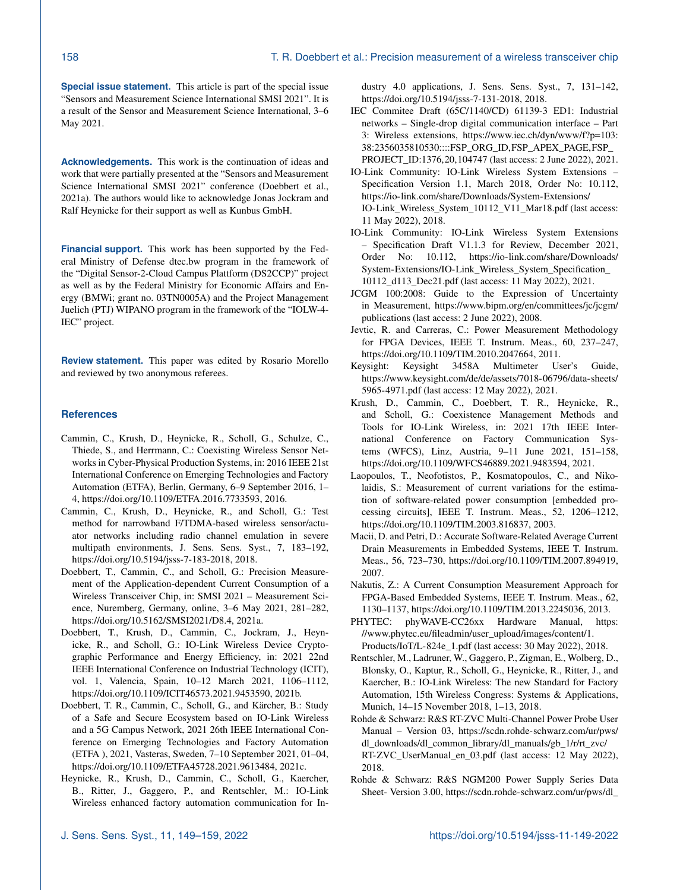**Special issue statement.** This article is part of the special issue "Sensors and Measurement Science International SMSI 2021". It is a result of the Sensor and Measurement Science International, 3–6 May 2021.

**Acknowledgements.** This work is the continuation of ideas and work that were partially presented at the "Sensors and Measurement Science International SMSI 2021" conference [\(Doebbert et al.,](#page-9-11) [2021a\)](#page-9-11). The authors would like to acknowledge Jonas Jockram and Ralf Heynicke for their support as well as Kunbus GmbH.

**Financial support.** This work has been supported by the Federal Ministry of Defense dtec.bw program in the framework of the "Digital Sensor-2-Cloud Campus Plattform (DS2CCP)" project as well as by the Federal Ministry for Economic Affairs and Energy (BMWi; grant no. 03TN0005A) and the Project Management Juelich (PTJ) WIPANO program in the framework of the "IOLW-4- IEC" project.

**Review statement.** This paper was edited by Rosario Morello and reviewed by two anonymous referees.

# **References**

- <span id="page-9-7"></span>Cammin, C., Krush, D., Heynicke, R., Scholl, G., Schulze, C., Thiede, S., and Herrmann, C.: Coexisting Wireless Sensor Networks in Cyber-Physical Production Systems, in: 2016 IEEE 21st International Conference on Emerging Technologies and Factory Automation (ETFA), Berlin, Germany, 6–9 September 2016, 1– 4, https://doi.org[/10.1109/ETFA.2016.7733593,](https://doi.org/10.1109/ETFA.2016.7733593) 2016.
- <span id="page-9-9"></span>Cammin, C., Krush, D., Heynicke, R., and Scholl, G.: Test method for narrowband F/TDMA-based wireless sensor/actuator networks including radio channel emulation in severe multipath environments, J. Sens. Sens. Syst., 7, 183–192, https://doi.org[/10.5194/jsss-7-183-2018,](https://doi.org/10.5194/jsss-7-183-2018) 2018.
- <span id="page-9-11"></span>Doebbert, T., Cammin, C., and Scholl, G.: Precision Measurement of the Application-dependent Current Consumption of a Wireless Transceiver Chip, in: SMSI 2021 – Measurement Science, Nuremberg, Germany, online, 3–6 May 2021, 281–282, https://doi.org[/10.5162/SMSI2021/D8.4,](https://doi.org/10.5162/SMSI2021/D8.4) 2021a.
- <span id="page-9-10"></span>Doebbert, T., Krush, D., Cammin, C., Jockram, J., Heynicke, R., and Scholl, G.: IO-Link Wireless Device Cryptographic Performance and Energy Efficiency, in: 2021 22nd IEEE International Conference on Industrial Technology (ICIT), vol. 1, Valencia, Spain, 10–12 March 2021, 1106–1112, https://doi.org[/10.1109/ICIT46573.2021.9453590,](https://doi.org/10.1109/ICIT46573.2021.9453590) 2021b.
- <span id="page-9-0"></span>Doebbert, T. R., Cammin, C., Scholl, G., and Kärcher, B.: Study of a Safe and Secure Ecosystem based on IO-Link Wireless and a 5G Campus Network, 2021 26th IEEE International Conference on Emerging Technologies and Factory Automation (ETFA ), 2021, Vasteras, Sweden, 7–10 September 2021, 01–04, https://doi.org[/10.1109/ETFA45728.2021.9613484,](https://doi.org/10.1109/ETFA45728.2021.9613484) 2021c.
- <span id="page-9-2"></span>Heynicke, R., Krush, D., Cammin, C., Scholl, G., Kaercher, B., Ritter, J., Gaggero, P., and Rentschler, M.: IO-Link Wireless enhanced factory automation communication for In-

dustry 4.0 applications, J. Sens. Sens. Syst., 7, 131–142, https://doi.org[/10.5194/jsss-7-131-2018,](https://doi.org/10.5194/jsss-7-131-2018) 2018.

- <span id="page-9-5"></span>IEC Commitee Draft (65C/1140/CD) 61139-3 ED1: Industrial networks – Single-drop digital communication interface – Part 3: Wireless extensions, [https://www.iec.ch/dyn/www/f?p=103:](https://www.iec.ch/dyn/www/f?p=103:38:2356035810530::::FSP_ORG_ID,FSP_APEX_PAGE,FSP_PROJECT_ID:1376,20,104747) [38:2356035810530::::FSP\\_ORG\\_ID,FSP\\_APEX\\_PAGE,FSP\\_](https://www.iec.ch/dyn/www/f?p=103:38:2356035810530::::FSP_ORG_ID,FSP_APEX_PAGE,FSP_PROJECT_ID:1376,20,104747) [PROJECT\\_ID:1376,20,104747](https://www.iec.ch/dyn/www/f?p=103:38:2356035810530::::FSP_ORG_ID,FSP_APEX_PAGE,FSP_PROJECT_ID:1376,20,104747) (last access: 2 June 2022), 2021.
- <span id="page-9-3"></span>IO-Link Community: IO-Link Wireless System Extensions – Specification Version 1.1, March 2018, Order No: 10.112, [https://io-link.com/share/Downloads/System-Extensions/](https://io-link.com/share/Downloads/System-Extensions/IO-Link_Wireless_System_10112_V11_Mar18.pdf) [IO-Link\\_Wireless\\_System\\_10112\\_V11\\_Mar18.pdf](https://io-link.com/share/Downloads/System-Extensions/IO-Link_Wireless_System_10112_V11_Mar18.pdf) (last access: 11 May 2022), 2018.
- <span id="page-9-4"></span>IO-Link Community: IO-Link Wireless System Extensions – Specification Draft V1.1.3 for Review, December 2021, Order No: 10.112, [https://io-link.com/share/Downloads/](https://io-link.com/share/Downloads/System-Extensions/IO-Link_Wireless_System_Specification_10112_d113_Dec21.pdf) [System-Extensions/IO-Link\\_Wireless\\_System\\_Specification\\_](https://io-link.com/share/Downloads/System-Extensions/IO-Link_Wireless_System_Specification_10112_d113_Dec21.pdf) [10112\\_d113\\_Dec21.pdf](https://io-link.com/share/Downloads/System-Extensions/IO-Link_Wireless_System_Specification_10112_d113_Dec21.pdf) (last access: 11 May 2022), 2021.
- <span id="page-9-15"></span>JCGM 100:2008: Guide to the Expression of Uncertainty in Measurement, [https://www.bipm.org/en/committees/jc/jcgm/](https://www.bipm.org/en/committees/jc/jcgm/publications) [publications](https://www.bipm.org/en/committees/jc/jcgm/publications) (last access: 2 June 2022), 2008.
- <span id="page-9-18"></span>Jevtic, R. and Carreras, C.: Power Measurement Methodology for FPGA Devices, IEEE T. Instrum. Meas., 60, 237–247, https://doi.org[/10.1109/TIM.2010.2047664,](https://doi.org/10.1109/TIM.2010.2047664) 2011.
- <span id="page-9-14"></span>Keysight: Keysight 3458A Multimeter User's Guide, [https://www.keysight.com/de/de/assets/7018-06796/data-sheets/](https://www.keysight.com/de/de/assets/7018-06796/data-sheets/5965-4971.pdf) [5965-4971.pdf](https://www.keysight.com/de/de/assets/7018-06796/data-sheets/5965-4971.pdf) (last access: 12 May 2022), 2021.
- <span id="page-9-8"></span>Krush, D., Cammin, C., Doebbert, T. R., Heynicke, R., and Scholl, G.: Coexistence Management Methods and Tools for IO-Link Wireless, in: 2021 17th IEEE International Conference on Factory Communication Systems (WFCS), Linz, Austria, 9–11 June 2021, 151–158, https://doi.org[/10.1109/WFCS46889.2021.9483594,](https://doi.org/10.1109/WFCS46889.2021.9483594) 2021.
- <span id="page-9-16"></span>Laopoulos, T., Neofotistos, P., Kosmatopoulos, C., and Nikolaidis, S.: Measurement of current variations for the estimation of software-related power consumption [embedded processing circuits], IEEE T. Instrum. Meas., 52, 1206–1212, https://doi.org[/10.1109/TIM.2003.816837,](https://doi.org/10.1109/TIM.2003.816837) 2003.
- <span id="page-9-17"></span>Macii, D. and Petri, D.: Accurate Software-Related Average Current Drain Measurements in Embedded Systems, IEEE T. Instrum. Meas., 56, 723–730, https://doi.org[/10.1109/TIM.2007.894919,](https://doi.org/10.1109/TIM.2007.894919) 2007.
- <span id="page-9-19"></span>Nakutis, Z.: A Current Consumption Measurement Approach for FPGA-Based Embedded Systems, IEEE T. Instrum. Meas., 62, 1130–1137, https://doi.org[/10.1109/TIM.2013.2245036,](https://doi.org/10.1109/TIM.2013.2245036) 2013.
- <span id="page-9-1"></span>PHYTEC: phyWAVE-CC26xx Hardware Manual, [https:](https://www.phytec.eu/fileadmin/user_upload/images/content/1.Products/IoT/L-824e_1.pdf) [//www.phytec.eu/fileadmin/user\\_upload/images/content/1.](https://www.phytec.eu/fileadmin/user_upload/images/content/1.Products/IoT/L-824e_1.pdf) [Products/IoT/L-824e\\_1.pdf](https://www.phytec.eu/fileadmin/user_upload/images/content/1.Products/IoT/L-824e_1.pdf) (last access: 30 May 2022), 2018.
- <span id="page-9-6"></span>Rentschler, M., Ladruner, W., Gaggero, P., Zigman, E., Wolberg, D., Blonsky, O., Kaptur, R., Scholl, G., Heynicke, R., Ritter, J., and Kaercher, B.: IO-Link Wireless: The new Standard for Factory Automation, 15th Wireless Congress: Systems & Applications, Munich, 14–15 November 2018, 1–13, 2018.
- <span id="page-9-12"></span>Rohde & Schwarz: R&S RT-ZVC Multi-Channel Power Probe User Manual – Version 03, [https://scdn.rohde-schwarz.com/ur/pws/](https://scdn.rohde-schwarz.com/ur/pws/dl_downloads/dl_common_library/dl_manuals/gb_1/r/rt_zvc/RT-ZVC_UserManual_en_03.pdf) [dl\\_downloads/dl\\_common\\_library/dl\\_manuals/gb\\_1/r/rt\\_zvc/](https://scdn.rohde-schwarz.com/ur/pws/dl_downloads/dl_common_library/dl_manuals/gb_1/r/rt_zvc/RT-ZVC_UserManual_en_03.pdf) [RT-ZVC\\_UserManual\\_en\\_03.pdf](https://scdn.rohde-schwarz.com/ur/pws/dl_downloads/dl_common_library/dl_manuals/gb_1/r/rt_zvc/RT-ZVC_UserManual_en_03.pdf) (last access: 12 May 2022), 2018.
- <span id="page-9-13"></span>Rohde & Schwarz: R&S NGM200 Power Supply Series Data Sheet- Version 3.00, [https://scdn.rohde-schwarz.com/ur/pws/dl\\_](https://scdn.rohde-schwarz.com/ur/pws/dl_downloads/dl_common_library/dl_brochures_and_datasheets/pdf_1/NGM200_dat_en_3609-1685-32_v0300.pdf)